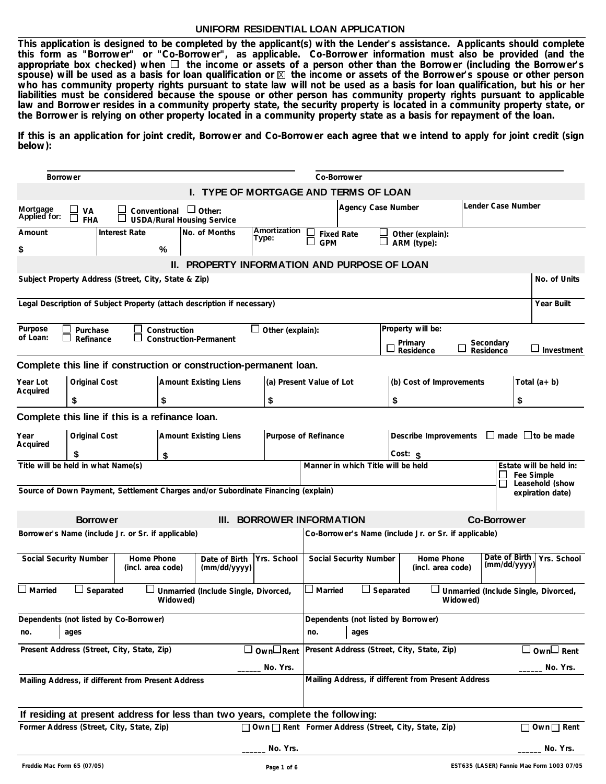#### **UNIFORM RESIDENTIAL LOAN APPLICATION**

This application is designed to be completed by the applicant(s) with the Lender's assistance. Applicants should complete **this form as "Borrower" or "Co-Borrower", as applicable. Co-Borrower information must also be provided (and the** appropriate box checked) when □ the income or assets of a person other than the Borrower (including the Borrower's spouse) will be used as a basis for loan qualification or  $\boxtimes$  the income or assets of the Borrower's spouse or other person who has community property rights pursuant to state law will not be used as a basis for loan qualification, but his or her liabilities must be considered because the spouse or other person has community property rights pursuant to applicable law and Borrower resides in a community property state, the security property is located in a community property state, or **the Borrower is relying on other property located in a community property state as a basis for repayment of the loan.**

If this is an application for joint credit, Borrower and Co-Borrower each agree that we intend to apply for joint credit (sign **below):**

|                                                                                       | <b>Borrower</b>                                                      |                                 |                            |                                                                                   |                                                                      |                                                                             | Co-Borrower               |                  |                                                        |                        |                               |                                        |
|---------------------------------------------------------------------------------------|----------------------------------------------------------------------|---------------------------------|----------------------------|-----------------------------------------------------------------------------------|----------------------------------------------------------------------|-----------------------------------------------------------------------------|---------------------------|------------------|--------------------------------------------------------|------------------------|-------------------------------|----------------------------------------|
|                                                                                       |                                                                      |                                 |                            | I. TYPE OF MORTGAGE AND TERMS OF LOAN                                             |                                                                      |                                                                             |                           |                  |                                                        |                        |                               |                                        |
| Mortgage<br>Applied for:                                                              | 吕<br>VA<br><b>FHA</b>                                                |                                 | Conventional $\Box$ Other: | <b>USDA/Rural Housing Service</b>                                                 |                                                                      |                                                                             | <b>Agency Case Number</b> |                  |                                                        |                        | Lender Case Number            |                                        |
| Amount<br>\$                                                                          |                                                                      | <b>Interest Rate</b>            | %                          | No. of Months                                                                     | Amortization<br>Type:                                                | <b>GPM</b>                                                                  | <b>Fixed Rate</b>         |                  | Other (explain):<br>ARM (type):                        |                        |                               |                                        |
|                                                                                       | II. PROPERTY INFORMATION AND PURPOSE OF LOAN                         |                                 |                            |                                                                                   |                                                                      |                                                                             |                           |                  |                                                        |                        |                               |                                        |
|                                                                                       | Subject Property Address (Street, City, State & Zip)                 |                                 |                            |                                                                                   |                                                                      |                                                                             |                           |                  |                                                        |                        |                               | No. of Units                           |
| Legal Description of Subject Property (attach description if necessary)<br>Year Built |                                                                      |                                 |                            |                                                                                   |                                                                      |                                                                             |                           |                  |                                                        |                        |                               |                                        |
| Purpose<br>of Loan:                                                                   | Purchase<br>Refinance                                                |                                 | Construction               | <b>Construction-Permanent</b>                                                     | $\Box$ Other (explain):                                              |                                                                             |                           |                  | Property will be:<br>Primary<br>Residence              | Secondary<br>Residence |                               | ⊿ Investment                           |
|                                                                                       |                                                                      |                                 |                            | Complete this line if construction or construction-permanent loan.                |                                                                      |                                                                             |                           |                  |                                                        |                        |                               |                                        |
| Year Lot<br>Acquired                                                                  | <b>Original Cost</b>                                                 |                                 |                            | <b>Amount Existing Liens</b>                                                      |                                                                      | (a) Present Value of Lot                                                    |                           |                  | (b) Cost of Improvements                               |                        |                               | Total $(a + b)$                        |
|                                                                                       | \$                                                                   |                                 | \$                         |                                                                                   | \$                                                                   |                                                                             | \$                        |                  |                                                        |                        | \$                            |                                        |
|                                                                                       | Complete this line if this is a refinance loan.                      |                                 |                            |                                                                                   |                                                                      |                                                                             |                           |                  |                                                        |                        |                               |                                        |
| Year<br>Acquired                                                                      | <b>Original Cost</b>                                                 |                                 |                            | <b>Amount Existing Liens</b>                                                      |                                                                      | Purpose of Refinance                                                        |                           |                  | Describe Improvements                                  |                        |                               | $\Box$ made $\Box$ to be made          |
|                                                                                       |                                                                      |                                 | \$                         |                                                                                   |                                                                      | Cost: $s$                                                                   |                           |                  |                                                        |                        |                               |                                        |
|                                                                                       | Title will be held in what Name(s)                                   |                                 |                            |                                                                                   |                                                                      | Manner in which Title will be held<br>Estate will be held in:<br>Fee Simple |                           |                  |                                                        |                        |                               |                                        |
|                                                                                       |                                                                      |                                 |                            | Source of Down Payment, Settlement Charges and/or Subordinate Financing (explain) |                                                                      | Leasehold (show<br>expiration date)                                         |                           |                  |                                                        |                        |                               |                                        |
|                                                                                       | <b>Borrower</b>                                                      |                                 |                            |                                                                                   | III. BORROWER INFORMATION                                            |                                                                             |                           |                  |                                                        |                        | <b>Co-Borrower</b>            |                                        |
|                                                                                       | Borrower's Name (include Jr. or Sr. if applicable)                   |                                 |                            |                                                                                   |                                                                      |                                                                             |                           |                  | Co-Borrower's Name (include Jr. or Sr. if applicable)  |                        |                               |                                        |
| Social Security Number                                                                |                                                                      | Home Phone<br>(incl. area code) |                            | Date of Birth<br>(mm/dd/yyyy)                                                     | Yrs. School                                                          |                                                                             | Social Security Number    |                  | Home Phone<br>(incl. area code)                        |                        | Date of Birth<br>(mm/dd/yyyy) | Yrs. School                            |
| $\Box$ Married                                                                        | $\Box$ Separated                                                     | ப                               | Widowed)                   | Unmarried (Include Single, Divorced,                                              |                                                                      | Married                                                                     |                           | $\Box$ Separated |                                                        | Widowed)               |                               | □ Unmarried (Include Single, Divorced, |
| no.                                                                                   | Dependents (not listed by Co-Borrower)<br>ages                       |                                 |                            |                                                                                   |                                                                      | no.                                                                         | ages                      |                  | Dependents (not listed by Borrower)                    |                        |                               |                                        |
|                                                                                       | Present Address (Street, City, State, Zip)<br>$\Box$ Own $\Box$ Rent |                                 |                            |                                                                                   | Present Address (Street, City, State, Zip)<br>$\Box$ Own $\Box$ Rent |                                                                             |                           |                  |                                                        |                        |                               |                                        |
| No. Yrs.                                                                              |                                                                      |                                 |                            | No. Yrs.<br>Mailing Address, if different from Present Address                    |                                                                      |                                                                             |                           |                  |                                                        |                        |                               |                                        |
|                                                                                       | Mailing Address, if different from Present Address                   |                                 |                            |                                                                                   |                                                                      |                                                                             |                           |                  |                                                        |                        |                               |                                        |
|                                                                                       |                                                                      |                                 |                            | If residing at present address for less than two years, complete the following:   |                                                                      |                                                                             |                           |                  |                                                        |                        |                               |                                        |
|                                                                                       | Former Address (Street, City, State, Zip)                            |                                 |                            |                                                                                   |                                                                      |                                                                             |                           |                  | □ Own □ Rent Former Address (Street, City, State, Zip) |                        |                               | $\Box$ Own $\Box$ Rent                 |
|                                                                                       |                                                                      |                                 |                            |                                                                                   | No. Yrs.                                                             |                                                                             |                           |                  |                                                        |                        |                               | No. Yrs.                               |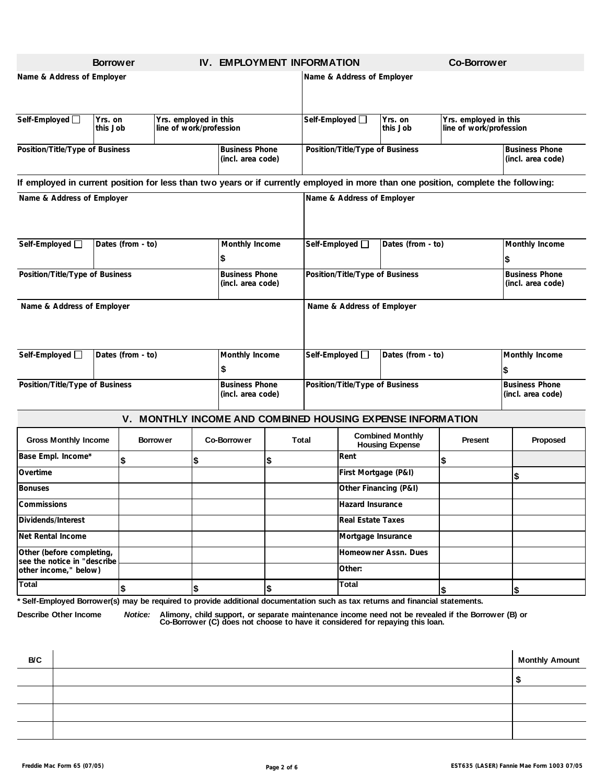|                                                                                                                                     | <b>Borrower</b>     |                                                  |                                            | IV. EMPLOYMENT INFORMATION                 |    |                                                 |                                                   |                                                            | <b>Co-Borrower</b>                               |                                            |
|-------------------------------------------------------------------------------------------------------------------------------------|---------------------|--------------------------------------------------|--------------------------------------------|--------------------------------------------|----|-------------------------------------------------|---------------------------------------------------|------------------------------------------------------------|--------------------------------------------------|--------------------------------------------|
| Name & Address of Employer                                                                                                          |                     |                                                  |                                            |                                            |    |                                                 | Name & Address of Employer                        |                                                            |                                                  |                                            |
| Self-Employed $\square$                                                                                                             | Yrs. on<br>this Job | Yrs. employed in this<br>line of work/profession |                                            |                                            |    | Self-Employed $\Box$                            |                                                   | Yrs. on<br>this Job                                        | Yrs. employed in this<br>line of work/profession |                                            |
| Position/Title/Type of Business                                                                                                     |                     |                                                  |                                            | <b>Business Phone</b><br>(incl. area code) |    |                                                 | Position/Title/Type of Business                   |                                                            |                                                  | <b>Business Phone</b><br>(incl. area code) |
| If employed in current position for less than two years or if currently employed in more than one position, complete the following: |                     |                                                  |                                            |                                            |    |                                                 |                                                   |                                                            |                                                  |                                            |
| Name & Address of Employer                                                                                                          |                     |                                                  |                                            |                                            |    |                                                 | Name & Address of Employer                        |                                                            |                                                  |                                            |
| Self-Employed <sup>1</sup>                                                                                                          | Dates (from - to)   |                                                  |                                            | Monthly Income                             |    |                                                 | Self-Employed $\square$                           | Dates (from - to)                                          |                                                  | Monthly Income                             |
|                                                                                                                                     |                     |                                                  |                                            | \$                                         |    |                                                 |                                                   |                                                            |                                                  | Ι\$                                        |
| Position/Title/Type of Business                                                                                                     |                     |                                                  | <b>Business Phone</b><br>(incl. area code) |                                            |    | Position/Title/Type of Business                 |                                                   |                                                            | <b>Business Phone</b><br>(incl. area code)       |                                            |
| Name & Address of Employer                                                                                                          |                     |                                                  |                                            |                                            |    |                                                 | Name & Address of Employer                        |                                                            |                                                  |                                            |
| Self-Employed <sup>1</sup><br>Dates (from - to)                                                                                     |                     |                                                  | Monthly Income<br>\$                       |                                            |    | Self-Employed <sup>1</sup><br>Dates (from - to) |                                                   |                                                            | Monthly Income<br>Ι\$                            |                                            |
| Position/Title/Type of Business                                                                                                     |                     |                                                  |                                            | <b>Business Phone</b><br>(incl. area code) |    | Position/Title/Type of Business                 |                                                   |                                                            | <b>Business Phone</b><br>(incl. area code)       |                                            |
|                                                                                                                                     |                     |                                                  |                                            |                                            |    |                                                 |                                                   | V. MONTHLY INCOME AND COMBINED HOUSING EXPENSE INFORMATION |                                                  |                                            |
| <b>Gross Monthly Income</b>                                                                                                         |                     | <b>Borrower</b>                                  |                                            | Co-Borrower                                |    | Total                                           | <b>Combined Monthly</b><br><b>Housing Expense</b> |                                                            | Present                                          | Proposed                                   |
| Base Empl. Income*                                                                                                                  | \$                  |                                                  | \$                                         |                                            | \$ |                                                 | Rent                                              |                                                            | \$                                               |                                            |
| Overtime                                                                                                                            |                     |                                                  |                                            |                                            |    |                                                 | First Mortgage (P&I)                              |                                                            |                                                  | \$                                         |
| <b>Bonuses</b>                                                                                                                      |                     |                                                  |                                            |                                            |    |                                                 | Other Financing (P&I)                             |                                                            |                                                  |                                            |
| Commissions                                                                                                                         |                     |                                                  |                                            |                                            |    |                                                 | Hazard Insurance                                  |                                                            |                                                  |                                            |
| Dividends/Interest                                                                                                                  |                     |                                                  |                                            |                                            |    |                                                 | <b>Real Estate Taxes</b>                          |                                                            |                                                  |                                            |
| Net Rental Income                                                                                                                   |                     |                                                  |                                            |                                            |    |                                                 | Mortgage Insurance                                |                                                            |                                                  |                                            |
| Other (before completing,<br>see the notice in "describe<br>other income," below)                                                   |                     |                                                  |                                            |                                            |    |                                                 | Other:                                            | Homeowner Assn. Dues                                       |                                                  |                                            |
|                                                                                                                                     |                     |                                                  |                                            |                                            |    |                                                 | Total                                             |                                                            |                                                  |                                            |

Describe Other Income *Notice:* Alimony, child support, or separate maintenance income need not be revealed if the Borrower (B) or<br>Co-Borrower (C) does not choose to have it considered for repaying this loan.

| B/C | <b>Monthly Amount</b> |
|-----|-----------------------|
|     |                       |
|     |                       |
|     |                       |
|     |                       |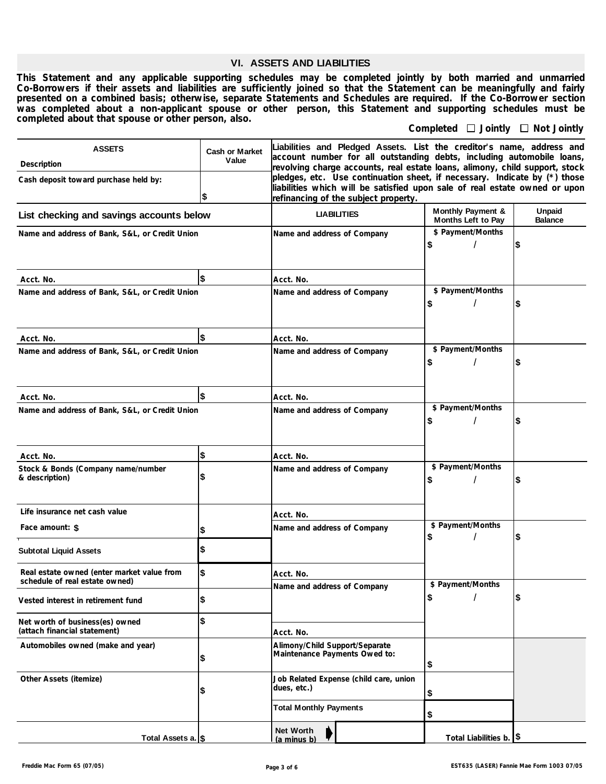### **VI. ASSETS AND LIABILITIES**

**This Statement and any applicable supporting schedules may be completed jointly by both married and unmarried** Co-Borrowers if their assets and liabilities are sufficiently joined so that the Statement can be meaningfully and fairly presented on a combined basis; otherwise, separate Statements and Schedules are required. If the Co-Borrower section **was completed about a non-applicant spouse or other person, this Statement and supporting schedules must be completed about that spouse or other person, also.**

**Completed Jointly Not Jointly**

| <b>ASSETS</b><br>Description                                                 | <b>Cash or Market</b><br>Value | Liabilities and Pledged Assets. List the creditor's name, address and<br>account number for all outstanding debts, including automobile loans,<br>revolving charge accounts, real estate loans, alimony, child support, stock |                                         |                          |
|------------------------------------------------------------------------------|--------------------------------|-------------------------------------------------------------------------------------------------------------------------------------------------------------------------------------------------------------------------------|-----------------------------------------|--------------------------|
| Cash deposit toward purchase held by:                                        |                                | pledges, etc. Use continuation sheet, if necessary. Indicate by (*) those<br>liabilities which will be satisfied upon sale of real estate owned or upon<br>refinancing of the subject property.                               |                                         |                          |
| List checking and savings accounts below                                     |                                | <b>LIABILITIES</b>                                                                                                                                                                                                            | Monthly Payment &<br>Months Left to Pay | Unpaid<br><b>Balance</b> |
| Name and address of Bank, S&L, or Credit Union                               |                                | Name and address of Company                                                                                                                                                                                                   | \$ Payment/Months<br>\$                 | \$                       |
| Acct. No.                                                                    | \$                             | Acct. No.                                                                                                                                                                                                                     |                                         |                          |
| Name and address of Bank, S&L, or Credit Union                               |                                | Name and address of Company                                                                                                                                                                                                   | \$ Payment/Months<br>\$                 | \$                       |
| Acct. No.                                                                    | \$                             | Acct. No.                                                                                                                                                                                                                     |                                         |                          |
| Name and address of Bank, S&L, or Credit Union                               |                                | Name and address of Company                                                                                                                                                                                                   | \$ Payment/Months<br>\$                 | \$                       |
| Acct. No.                                                                    | \$                             | Acct. No.                                                                                                                                                                                                                     |                                         |                          |
| Name and address of Bank, S&L, or Credit Union                               |                                | Name and address of Company                                                                                                                                                                                                   | \$ Payment/Months<br>\$                 | \$                       |
| Acct. No.                                                                    | \$                             | Acct. No.                                                                                                                                                                                                                     |                                         |                          |
| Stock & Bonds (Company name/number<br>& description)                         | \$                             | Name and address of Company                                                                                                                                                                                                   | \$ Payment/Months<br>\$                 | \$                       |
| Life insurance net cash value                                                |                                | Acct. No.                                                                                                                                                                                                                     |                                         |                          |
| Face amount: \$                                                              | \$                             | Name and address of Company                                                                                                                                                                                                   | \$ Payment/Months<br>\$                 | \$                       |
| <b>Subtotal Liquid Assets</b>                                                | \$                             |                                                                                                                                                                                                                               |                                         |                          |
| Real estate owned (enter market value from<br>schedule of real estate owned) | \$                             | Acct. No.<br>Name and address of Company                                                                                                                                                                                      | \$ Payment/Months                       |                          |
| Vested interest in retirement fund                                           | \$                             |                                                                                                                                                                                                                               | \$                                      | \$                       |
| Net worth of business(es) owned<br>(attach financial statement)              | \$                             | Acct. No.                                                                                                                                                                                                                     |                                         |                          |
| Automobiles owned (make and year)                                            | \$                             | Alimony/Child Support/Separate<br>Maintenance Payments Owed to:                                                                                                                                                               | \$                                      |                          |
| Other Assets (itemize)                                                       | \$                             | Job Related Expense (child care, union<br>dues, etc.)                                                                                                                                                                         | \$                                      |                          |
|                                                                              |                                | <b>Total Monthly Payments</b>                                                                                                                                                                                                 | \$                                      |                          |
| Total Assets a. \$                                                           |                                | Net Worth<br>(a minus b)                                                                                                                                                                                                      | Total Liabilities b. \$                 |                          |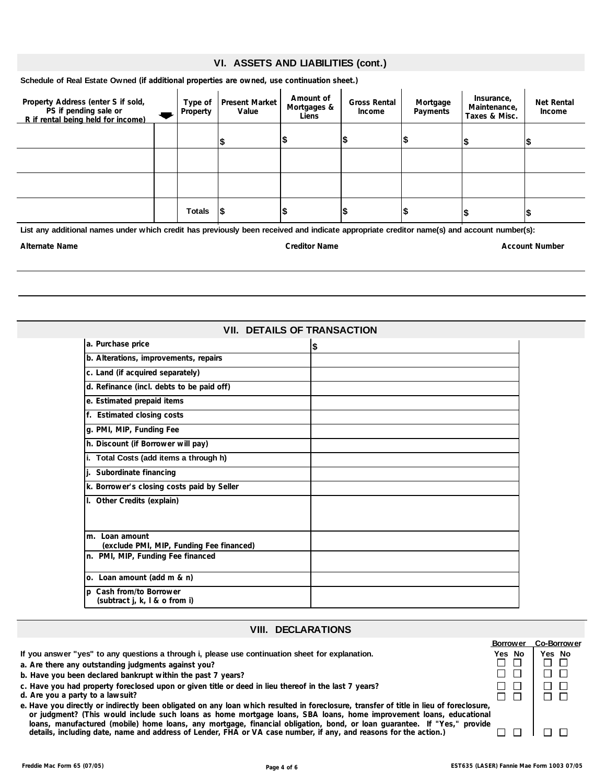## **VI. ASSETS AND LIABILITIES (cont.)**

**Schedule of Real Estate Owned (if additional properties are owned, use continuation sheet.)**

| Property Address (enter S if sold,<br>PS if pending sale or<br>R if rental being held for income)                                          | Type of<br>Property | <b>Present Market</b><br>Value | Amount of<br>Mortgages &<br>Liens | <b>Gross Rental</b><br>Income | Mortgage<br>Payments | Insurance,<br>Maintenance,<br>Taxes & Misc. | Net Rental<br>Income |
|--------------------------------------------------------------------------------------------------------------------------------------------|---------------------|--------------------------------|-----------------------------------|-------------------------------|----------------------|---------------------------------------------|----------------------|
|                                                                                                                                            |                     |                                |                                   |                               |                      |                                             |                      |
|                                                                                                                                            |                     |                                |                                   |                               |                      |                                             |                      |
|                                                                                                                                            |                     |                                |                                   |                               |                      |                                             |                      |
|                                                                                                                                            | Totals              | 1\$                            |                                   |                               |                      |                                             |                      |
| List any additional names under which credit has previously been received and indicate appropriate creditor name(s) and account number(s). |                     |                                |                                   |                               |                      |                                             |                      |

**List any additional names under which credit has previously been received and indicate appropriate creditor name(s) and account number(s):**

**Alternate Name Creditor Name Account Number**

| VII. DETAILS OF TRANSACTION                                |    |  |  |  |  |  |  |
|------------------------------------------------------------|----|--|--|--|--|--|--|
| a. Purchase price                                          | \$ |  |  |  |  |  |  |
| b. Alterations, improvements, repairs                      |    |  |  |  |  |  |  |
| c. Land (if acquired separately)                           |    |  |  |  |  |  |  |
| d. Refinance (incl. debts to be paid off)                  |    |  |  |  |  |  |  |
| e. Estimated prepaid items                                 |    |  |  |  |  |  |  |
| f. Estimated closing costs                                 |    |  |  |  |  |  |  |
| g. PMI, MIP, Funding Fee                                   |    |  |  |  |  |  |  |
| h. Discount (if Borrower will pay)                         |    |  |  |  |  |  |  |
| Total Costs (add items a through h)<br>i.                  |    |  |  |  |  |  |  |
| Subordinate financing                                      |    |  |  |  |  |  |  |
| k. Borrower's closing costs paid by Seller                 |    |  |  |  |  |  |  |
| I. Other Credits (explain)                                 |    |  |  |  |  |  |  |
|                                                            |    |  |  |  |  |  |  |
| m. Loan amount<br>(exclude PMI, MIP, Funding Fee financed) |    |  |  |  |  |  |  |
| n. PMI, MIP, Funding Fee financed                          |    |  |  |  |  |  |  |
| o. Loan amount (add m & n)                                 |    |  |  |  |  |  |  |
| p Cash from/to Borrower<br>(subtract j, k, l & o from i)   |    |  |  |  |  |  |  |

# **VIII. DECLARATIONS**

|                                                                                                                                                                                                                                                                                                                                                                                         | <b>Borrower</b> | <b>Co-Borrower</b> |
|-----------------------------------------------------------------------------------------------------------------------------------------------------------------------------------------------------------------------------------------------------------------------------------------------------------------------------------------------------------------------------------------|-----------------|--------------------|
| If you answer "yes" to any questions a through i, please use continuation sheet for explanation.                                                                                                                                                                                                                                                                                        | Yes No          | Yes No             |
| a. Are there any outstanding judgments against you?                                                                                                                                                                                                                                                                                                                                     |                 |                    |
| b. Have you been declared bankrupt within the past 7 years?                                                                                                                                                                                                                                                                                                                             |                 |                    |
| c. Have you had property foreclosed upon or given title or deed in lieu thereof in the last 7 years?                                                                                                                                                                                                                                                                                    |                 |                    |
| d. Are you a party to a lawsuit?                                                                                                                                                                                                                                                                                                                                                        | $\mathbf{I}$    |                    |
| e. Have you directly or indirectly been obligated on any loan which resulted in foreclosure, transfer of title in lieu of foreclosure,<br>or judgment? (This would include such loans as home mortgage loans, SBA loans, home improvement loans, educational<br>loans, manufactured (mobile) home loans, any mortgage, financial obligation, bond, or loan guarantee. If "Yes," provide |                 |                    |
| details, including date, name and address of Lender, FHA or VA case number, if any, and reasons for the action.)                                                                                                                                                                                                                                                                        |                 |                    |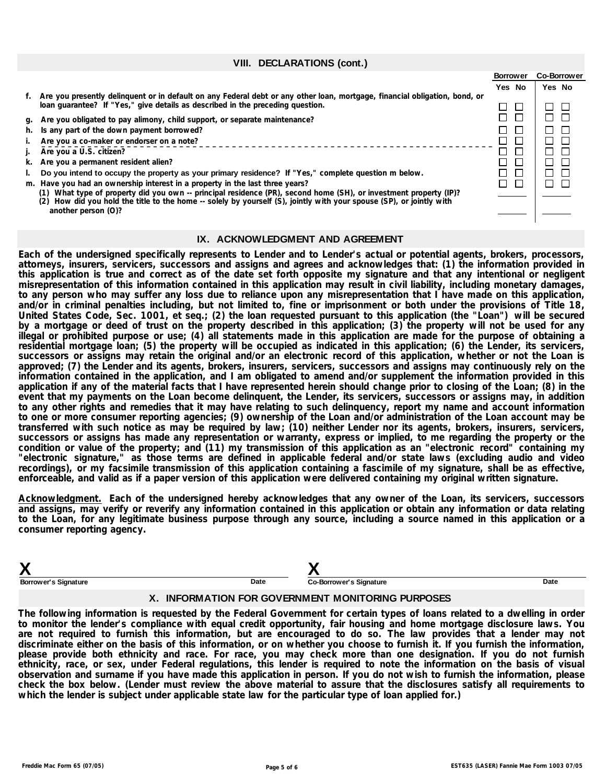## **VIII. DECLARATIONS (cont.)**

|    |                                                                                                                                                                                                                                       | <b>Borrower</b>                | Co-Borrower            |
|----|---------------------------------------------------------------------------------------------------------------------------------------------------------------------------------------------------------------------------------------|--------------------------------|------------------------|
|    |                                                                                                                                                                                                                                       | Yes No                         | Yes No                 |
|    | f. Are you presently delinquent or in default on any Federal debt or any other loan, mortgage, financial obligation, bond, or<br>loan guarantee? If "Yes," give details as described in the preceding question.                       | ┱                              | $\Box$<br>$\mathsf{L}$ |
| q. | Are you obligated to pay alimony, child support, or separate maintenance?                                                                                                                                                             | $\mathsf{L}$<br>$\blacksquare$ | $\Box$ $\Box$          |
| h. | Is any part of the down payment borrowed?                                                                                                                                                                                             | ┑                              | $\Box$<br>П.           |
|    | Are you a co-maker or endorser on a note?                                                                                                                                                                                             | ┑<br>П                         | $\Box$<br>⊓_           |
|    | Are you a U.S. citizen?                                                                                                                                                                                                               | $\blacksquare$                 | $\Box$<br>$\Box$       |
| k. | Are you a permanent resident alien?                                                                                                                                                                                                   | $\mathbf{I}$<br>$\mathsf{L}$   | $\Box$<br>$\mathbf{I}$ |
|    | Do you intend to occupy the property as your primary residence? If "Yes," complete question m below.                                                                                                                                  | П<br>┑                         | $\Box$                 |
| m. | Have you had an ownership interest in a property in the last three years?                                                                                                                                                             | $\Box$<br>┑                    | ПΠ                     |
|    | What type of property did you own -- principal residence (PR), second home (SH), or investment property (IP)?<br>(2) How did you hold the title to the home -- solely by yourself (S), jointly with your spouse (SP), or jointly with |                                |                        |
|    | another person (O)?                                                                                                                                                                                                                   |                                |                        |

### **IX. ACKNOWLEDGMENT AND AGREEMENT**

Each of the undersigned specifically represents to Lender and to Lender's actual or potential agents, brokers, processors, attorneys, insurers, servicers, successors and assigns and agrees and acknowledges that: (1) the information provided in this application is true and correct as of the date set forth opposite my signature and that any intentional or negligent misrepresentation of this information contained in this application may result in civil liability, including monetary damages, to any person who may suffer any loss due to reliance upon any misrepresentation that I have made on this application, and/or in criminal penalties including, but not limited to, fine or imprisonment or both under the provisions of Title 18, United States Code, Sec. 1001, et seq.; (2) the loan requested pursuant to this application (the "Loan") will be secured by a mortgage or deed of trust on the property described in this application; (3) the property will not be used for any illegal or prohibited purpose or use; (4) all statements made in this application are made for the purpose of obtaining a residential mortgage loan; (5) the property will be occupied as indicated in this application; (6) the Lender, its servicers, successors or assigns may retain the original and/or an electronic record of this application, whether or not the Loan is approved; (7) the Lender and its agents, brokers, insurers, servicers, successors and assigns may continuously rely on the information contained in the application, and I am obligated to amend and/or supplement the information provided in this application if any of the material facts that I have represented herein should change prior to closing of the Loan; (8) in the event that my payments on the Loan become delinquent, the Lender, its servicers, successors or assigns may, in addition to any other rights and remedies that it may have relating to such delinquency, report my name and account information to one or more consumer reporting agencies; (9) ownership of the Loan and/or administration of the Loan account may be transferred with such notice as may be required by law; (10) neither Lender nor its agents, brokers, insurers, servicers, successors or assigns has made any representation or warranty, express or implied, to me regarding the property or the condition or value of the property; and (11) my transmission of this application as an "electronic record" containing my "electronic signature," as those terms are defined in applicable federal and/or state laws (excluding audio and video recordings), or my facsimile transmission of this application containing a fascimile of my signature, shall be as effective, **enforceable, and valid as if a paper version of this application were delivered containing my original written signature.**

Acknowledgment. Each of the undersigned hereby acknowledges that any owner of the Loan, its servicers, successors and assigns, may verify or reverify any information contained in this application or obtain any information or data relating to the Loan, for any legitimate business purpose through any source, including a source named in this application or a **consumer reporting agency.**

| --                          |      |
|-----------------------------|------|
| <b>Borrower's Signature</b> | Date |

**X**

## **X. INFORMATION FOR GOVERNMENT MONITORING PURPOSES**

The following information is requested by the Federal Government for certain types of loans related to a dwelling in order to monitor the lender's compliance with equal credit opportunity, fair housing and home mortgage disclosure laws. You are not required to furnish this information, but are encouraged to do so. The law provides that a lender may not discriminate either on the basis of this information, or on whether you choose to furnish it. If you furnish the information, please provide both ethnicity and race. For race, you may check more than one designation. If you do not furnish ethnicity, race, or sex, under Federal regulations, this lender is required to note the information on the basis of visual observation and surname if you have made this application in person. If you do not wish to furnish the information, please check the box below. (Lender must review the above material to assure that the disclosures satisfy all requirements to **which the lender is subject under applicable state law for the particular type of loan applied for.)**

**X Co-Borrower's Signature Date**